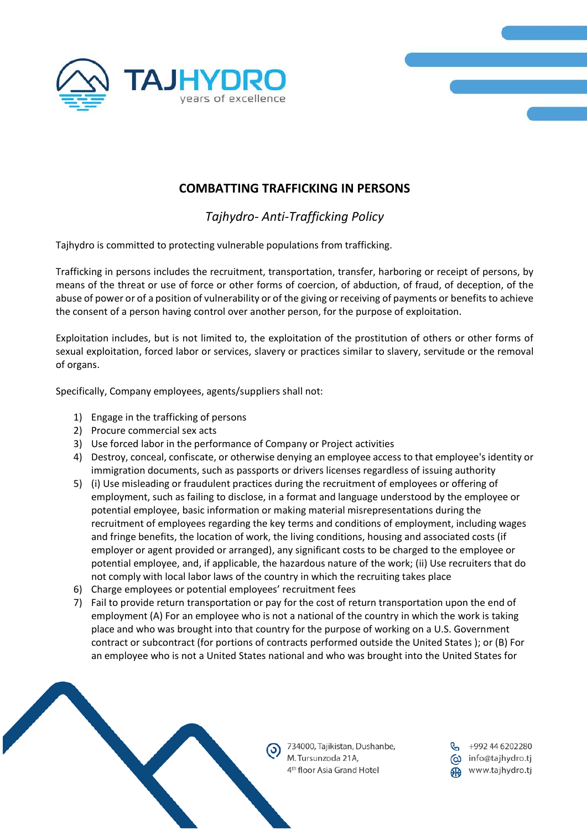



#### **COMBATTING TRAFFICKING IN PERSONS**

*Tajhydro- Anti-Trafficking Policy*

Tajhydro is committed to protecting vulnerable populations from trafficking.

Trafficking in persons includes the recruitment, transportation, transfer, harboring or receipt of persons, by means of the threat or use of force or other forms of coercion, of abduction, of fraud, of deception, of the abuse of power or of a position of vulnerability or of the giving or receiving of payments or benefits to achieve the consent of a person having control over another person, for the purpose of exploitation.

Exploitation includes, but is not limited to, the exploitation of the prostitution of others or other forms of sexual exploitation, forced labor or services, slavery or practices similar to slavery, servitude or the removal of organs.

Specifically, Company employees, agents/suppliers shall not:

- 1) Engage in the trafficking of persons
- 2) Procure commercial sex acts
- 3) Use forced labor in the performance of Company or Project activities
- 4) Destroy, conceal, confiscate, or otherwise denying an employee access to that employee's identity or immigration documents, such as passports or drivers licenses regardless of issuing authority
- 5) (i) Use misleading or fraudulent practices during the recruitment of employees or offering of employment, such as failing to disclose, in a format and language understood by the employee or potential employee, basic information or making material misrepresentations during the recruitment of employees regarding the key terms and conditions of employment, including wages and fringe benefits, the location of work, the living conditions, housing and associated costs (if employer or agent provided or arranged), any significant costs to be charged to the employee or potential employee, and, if applicable, the hazardous nature of the work; (ii) Use recruiters that do not comply with local labor laws of the country in which the recruiting takes place
- 6) Charge employees or potential employees' recruitment fees
- 7) Fail to provide return transportation or pay for the cost of return transportation upon the end of employment (A) For an employee who is not a national of the country in which the work is taking place and who was brought into that country for the purpose of working on a U.S. Government contract or subcontract (for portions of contracts performed outside the United States ); or (B) For an employee who is not a United States national and who was brought into the United States for



734000, Tajikistan, Dushanbe, M. Tursunzoda 21A, 4<sup>th</sup> floor Asia Grand Hotel

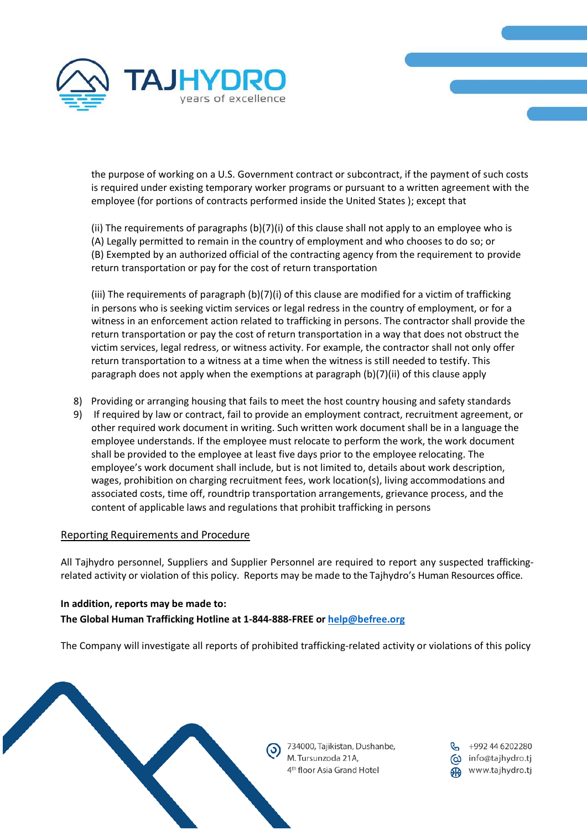

the purpose of working on a U.S. Government contract or subcontract, if the payment of such costs is required under existing temporary worker programs or pursuant to a written agreement with the employee (for portions of contracts performed inside the United States ); except that

(ii) The requirements of paragraphs  $(b)(7)(i)$  of this clause shall not apply to an employee who is (A) Legally permitted to remain in the country of employment and who chooses to do so; or (B) Exempted by an authorized official of the contracting agency from the requirement to provide return transportation or pay for the cost of return transportation

(iii) The requirements of paragraph (b)(7)(i) of this clause are modified for a victim of trafficking in persons who is seeking victim services or legal redress in the country of employment, or for a witness in an enforcement action related to trafficking in persons. The contractor shall provide the return transportation or pay the cost of return transportation in a way that does not obstruct the victim services, legal redress, or witness activity. For example, the contractor shall not only offer return transportation to a witness at a time when the witness is still needed to testify. This paragraph does not apply when the exemptions at paragraph (b)(7)(ii) of this clause apply

- 8) Providing or arranging housing that fails to meet the host country housing and safety standards
- 9) If required by law or contract, fail to provide an employment contract, recruitment agreement, or other required work document in writing. Such written work document shall be in a language the employee understands. If the employee must relocate to perform the work, the work document shall be provided to the employee at least five days prior to the employee relocating. The employee's work document shall include, but is not limited to, details about work description, wages, prohibition on charging recruitment fees, work location(s), living accommodations and associated costs, time off, roundtrip transportation arrangements, grievance process, and the content of applicable laws and regulations that prohibit trafficking in persons

#### Reporting Requirements and Procedure

All Tajhydro personnel, Suppliers and Supplier Personnel are required to report any suspected traffickingrelated activity or violation of this policy. Reports may be made to the Tajhydro's Human Resources office.

#### **In addition, reports may be made to: The Global Human Trafficking Hotline at 1-844-888-FREE or [help@befree.org](mailto:help@befree.org%20.)**

The Company will investigate all reports of prohibited trafficking-related activity or violations of this policy

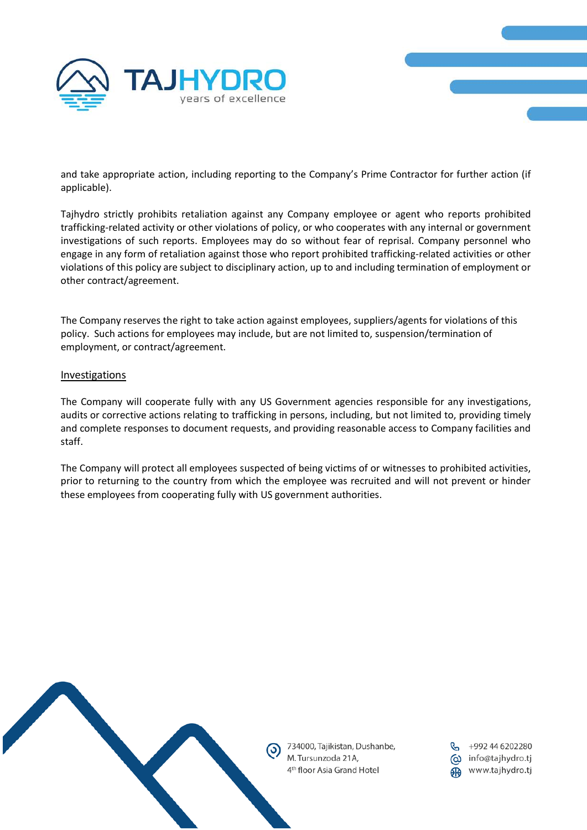



and take appropriate action, including reporting to the Company's Prime Contractor for further action (if applicable).

Tajhydro strictly prohibits retaliation against any Company employee or agent who reports prohibited trafficking-related activity or other violations of policy, or who cooperates with any internal or government investigations of such reports. Employees may do so without fear of reprisal. Company personnel who engage in any form of retaliation against those who report prohibited trafficking-related activities or other violations of this policy are subject to disciplinary action, up to and including termination of employment or other contract/agreement.

The Company reserves the right to take action against employees, suppliers/agents for violations of this policy. Such actions for employees may include, but are not limited to, suspension/termination of employment, or contract/agreement.

#### Investigations

The Company will cooperate fully with any US Government agencies responsible for any investigations, audits or corrective actions relating to trafficking in persons, including, but not limited to, providing timely and complete responses to document requests, and providing reasonable access to Company facilities and staff.

The Company will protect all employees suspected of being victims of or witnesses to prohibited activities, prior to returning to the country from which the employee was recruited and will not prevent or hinder these employees from cooperating fully with US government authorities.



734000, Tajikistan, Dushanbe, M. Tursunzoda 21A, 4<sup>th</sup> floor Asia Grand Hotel

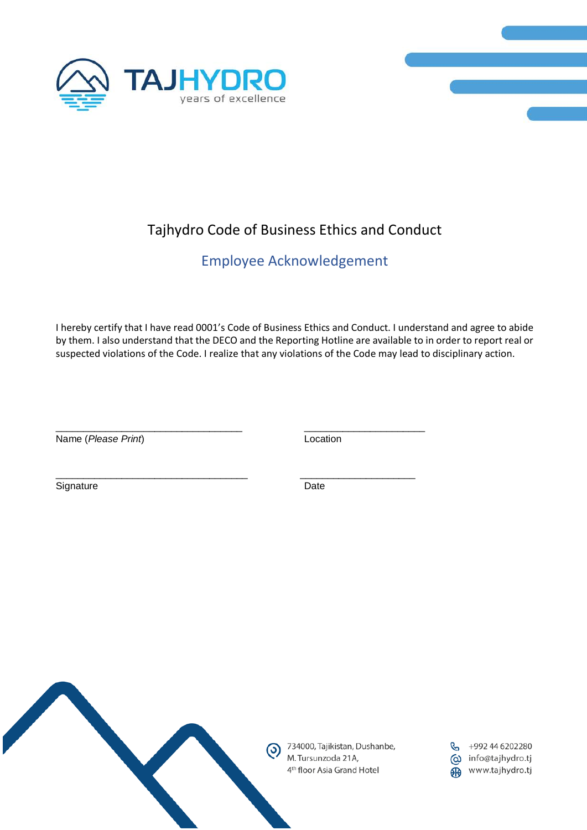



## Tajhydro Code of Business Ethics and Conduct

## Employee Acknowledgement

I hereby certify that I have read 0001's Code of Business Ethics and Conduct. I understand and agree to abide by them. I also understand that the DECO and the Reporting Hotline are available to in order to report real or suspected violations of the Code. I realize that any violations of the Code may lead to disciplinary action.

Name (*Please Print*) Location

\_\_\_\_\_\_\_\_\_\_\_\_\_\_\_\_\_\_\_\_\_\_\_\_\_\_\_\_\_\_\_\_\_\_ \_\_\_\_\_\_\_\_\_\_\_\_\_\_\_\_\_\_\_\_\_\_

Signature Date

\_\_\_\_\_\_\_\_\_\_\_\_\_\_\_\_\_\_\_\_\_\_\_\_\_\_\_\_\_\_\_\_\_\_\_ \_\_\_\_\_\_\_\_\_\_\_\_\_\_\_\_\_\_\_\_\_



R<sub>2</sub> +992 44 6202280 (a) info@tajhydro.tj www.tajhydro.tj ௸